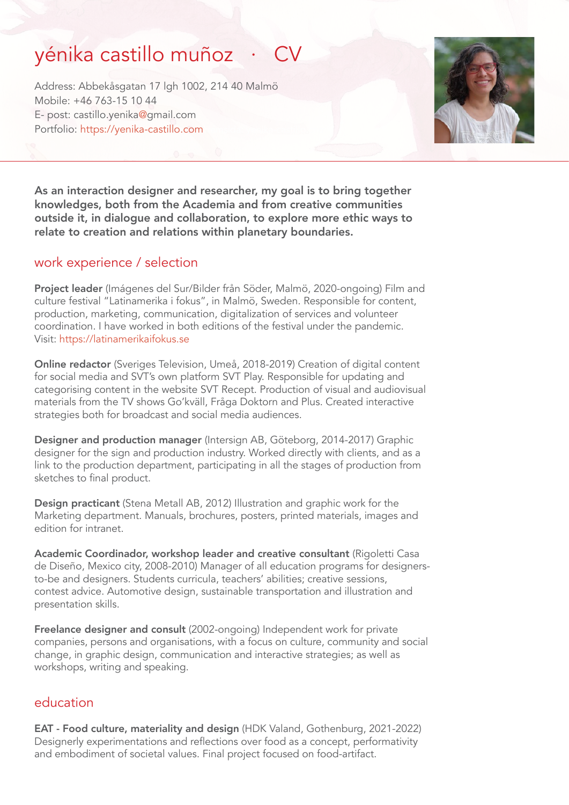# yénika castillo muñoz

Address: Abbekåsgatan 17 lgh 1002, 214 40 Malmö Mobile: +46 763-15 10 44 E- post: castillo.yenika@gmail.com Portfolio: <https://yenika-castillo.com>



As an interaction designer and researcher, my goal is to bring together knowledges, both from the Academia and from creative communities outside it, in dialogue and collaboration, to explore more ethic ways to relate to creation and relations within planetary boundaries.

## work experience / selection

Project leader (Imágenes del Sur/Bilder från Söder, Malmö, 2020-ongoing) Film and culture festival "Latinamerika i fokus", in Malmö, Sweden. Responsible for content, production, marketing, communication, digitalization of services and volunteer coordination. I have worked in both editions of the festival under the pandemic. Visit:<https://latinamerikaifokus.se>

Online redactor (Sveriges Television, Umeå, 2018-2019) Creation of digital content for social media and SVT's own platform SVT Play. Responsible for updating and categorising content in the website SVT Recept. Production of visual and audiovisual materials from the TV shows Go'kväll, Fråga Doktorn and Plus. Created interactive strategies both for broadcast and social media audiences.

Designer and production manager (Intersign AB, Göteborg, 2014-2017) Graphic designer for the sign and production industry. Worked directly with clients, and as a link to the production department, participating in all the stages of production from sketches to final product.

Design practicant (Stena Metall AB, 2012) Illustration and graphic work for the Marketing department. Manuals, brochures, posters, printed materials, images and edition for intranet.

Academic Coordinador, workshop leader and creative consultant (Rigoletti Casa de Diseño, Mexico city, 2008-2010) Manager of all education programs for designersto-be and designers. Students curricula, teachers' abilities; creative sessions, contest advice. Automotive design, sustainable transportation and illustration and presentation skills.

Freelance designer and consult (2002-ongoing) Independent work for private companies, persons and organisations, with a focus on culture, community and social change, in graphic design, communication and interactive strategies; as well as workshops, writing and speaking.

### education

EAT - Food culture, materiality and design (HDK Valand, Gothenburg, 2021-2022) Designerly experimentations and reflections over food as a concept, performativity and embodiment of societal values. Final project focused on food-artifact.